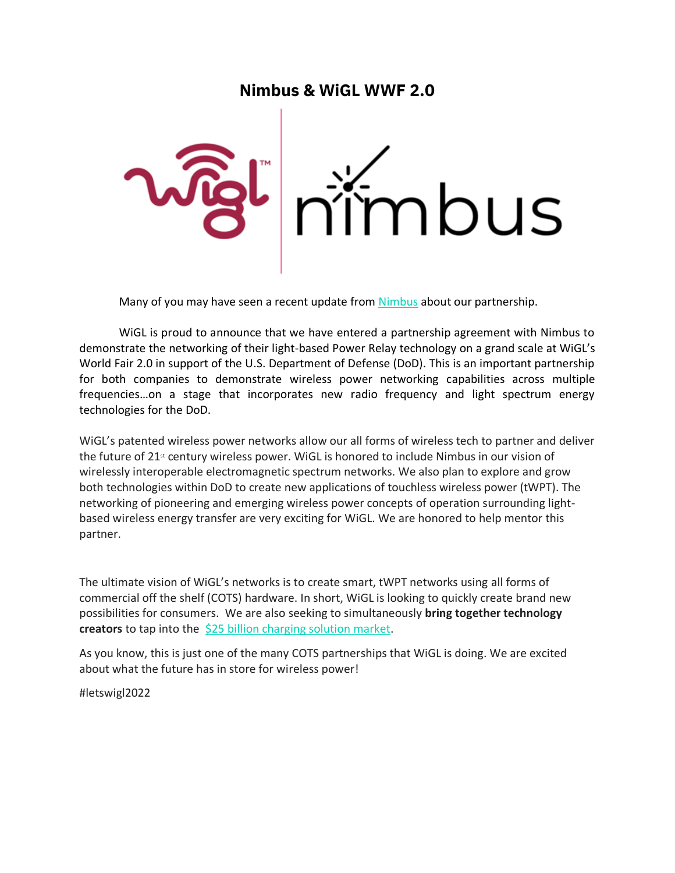## **Nimbus & WiGL WWF 2.0**



Many of you may have seen a recent update from [Nimbus](https://www.startengine.com/nimbus) about our partnership.

WiGL is proud to announce that we have entered a partnership agreement with Nimbus to demonstrate the networking of their light-based Power Relay technology on a grand scale at WiGL's World Fair 2.0 in support of the U.S. Department of Defense (DoD). This is an important partnership for both companies to demonstrate wireless power networking capabilities across multiple frequencies…on a stage that incorporates new radio frequency and light spectrum energy technologies for the DoD.

WiGL's patented wireless power networks allow our all forms of wireless tech to partner and deliver the future of 21<sup>st</sup> century wireless power. WiGL is honored to include Nimbus in our vision of wirelessly interoperable electromagnetic spectrum networks. We also plan to explore and grow both technologies within DoD to create new applications of touchless wireless power (tWPT). The networking of pioneering and emerging wireless power concepts of operation surrounding lightbased wireless energy transfer are very exciting for WiGL. We are honored to help mentor this partner.

The ultimate vision of WiGL's networks is to create smart, tWPT networks using all forms of commercial off the shelf (COTS) hardware. In short, WiGL is looking to quickly create brand new possibilities for consumers. We are also seeking to simultaneously **bring together technology creators** to tap into the [\\$25 billion charging solution market.](https://www.globenewswire.com/news-release/2018/08/07/1547823/0/en/The-Global-Market-for-Mobile-Chargers-to-Reach-25-0-Billion-by-2022.html)

As you know, this is just one of the many COTS partnerships that WiGL is doing. We are excited about what the future has in store for wireless power!

#letswigl2022